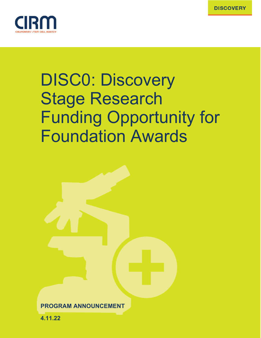

# DISC0: Discovery Stage Research Funding Opportunity for Foundation Awards

| <b>PROGRAM ANNOUNCEMENT</b> |  |
|-----------------------------|--|

**4.11.22**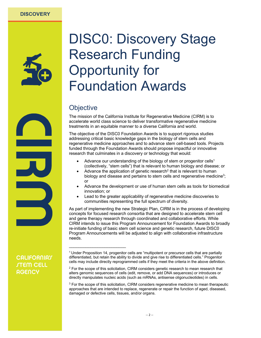

## DISC0: Discovery Stage Research Funding Opportunity for Foundation Awards

## **Objective**

\_\_\_\_\_\_\_\_\_\_\_\_\_\_\_\_\_\_\_\_\_\_\_\_

The mission of the California Institute for Regenerative Medicine (CIRM) is to accelerate world class science to deliver transformative regenerative medicine treatments in an equitable manner to a diverse California and world.

The objective of the DISC0 Foundation Awards is to support rigorous studies addressing critical basic knowledge gaps in the biology of stem cells and regenerative medicine approaches and to advance stem cell-based tools. Projects funded through the Foundation Awards should propose impactful or innovative research that culminates in a discovery or technology that would:

- Advance our understanding of the biology of stem or progenitor cells<sup>1</sup> (collectively, "stem cells") that is relevant to human biology and disease; or
- Advance the application of genetic research<sup>2</sup> that is relevant to human biology and disease and pertains to stem cells and regenerative medicine<sup>3</sup>; or
- Advance the development or use of human stem cells as tools for biomedical innovation; or
- Lead to the greater applicability of regenerative medicine discoveries to communities representing the full spectrum of diversity.

As part of implementing the new Strategic Plan, CIRM is in the process of developing concepts for focused research consortia that are designed to accelerate stem cell and gene therapy research through coordinated and collaborative efforts. While CIRM intends to issue this Program Announcement for Foundation Awards to broadly re-initiate funding of basic stem cell science and genetic research, future DISC0 Program Announcements will be adjusted to align with collaborative infrastructure needs.

<sup>1</sup> Under Proposition 14, progenitor cells are "multipotent or precursor cells that are partially differentiated, but retain the ability to divide and give rise to differentiated cells." Progenitor cells may include directly reprogrammed cells if they meet the criteria in the above definition.

<sup>&</sup>lt;sup>2</sup> For the scope of this solicitation, CIRM considers genetic research to mean research that alters genomic sequences of cells (edit, remove, or add DNA sequences) or introduces or directly manipulates nucleic acids (such as mRNAs, antisense oligonucleotides) in cells.

<sup>&</sup>lt;sup>3</sup> For the scope of this solicitation, CIRM considers regenerative medicine to mean therapeutic approaches that are intended to replace, regenerate or repair the function of aged, diseased, damaged or defective cells, tissues, and/or organs.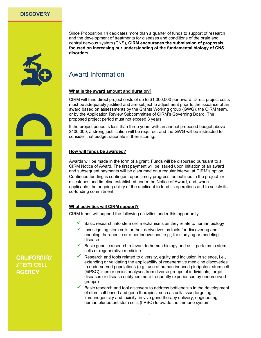

Since Proposition 14 dedicates more than a quarter of funds to support of research and the development of treatments for diseases and conditions of the brain and central nervous system (CNS), **CIRM encourages the submission of proposals focused on increasing our understanding of the fundamental biology of CNS disorders.**

## Award Information

#### **What is the award amount and duration?**

CIRM will fund direct project costs of up to \$1,000,000 per award. Direct project costs must be adequately justified and are subject to adjustment prior to the issuance of an award based on assessments by the Grants Working group (GWG), the CIRM team, or by the Application Review Subcommittee of CIRM's Governing Board. The proposed project period must not exceed 3 years.

If the project period is less than three years with an annual proposed budget above \$400,000, a strong justification will be required, and the GWG will be instructed to consider that budget rationale in their scoring.

#### **How will funds be awarded?**

Awards will be made in the form of a grant. Funds will be disbursed pursuant to a CIRM Notice of Award. The first payment will be issued upon initiation of an award and subsequent payments will be disbursed on a regular interval at CIRM's option. Continued funding is contingent upon timely progress, as outlined in the project or milestones and timeline established under the Notice of Award, and, when applicable, the ongoing ability of the applicant to fund its operations and to satisfy its co-funding commitment.

#### **What activities will CIRM support?**

CIRM funds will support the following activities under this opportunity:

- Basic research into stem cell mechanisms as they relate to human biology
- Investigating stem cells or their derivatives as tools for discovering and enabling therapeutic or other innovations, e.g., for studying or modeling disease
- $\checkmark$  Basic genetic research relevant to human biology and as it pertains to stem cells or regenerative medicine
- Research and tools related to diversity, equity and inclusion in science, i.e., extending or validating the applicability of regenerative medicine discoveries to underserved populations (e.g., use of human induced pluripotent stem cell (hiPSC) lines or omics analyses from diverse groups of individuals, target diseases or disease subtypes more frequently experienced by underserved groups)
- Basic research and tool discovery to address bottlenecks in the development of stem cell-based and gene therapies, such as cell/tissue targeting, immunogenicity and toxicity, in vivo gene therapy delivery, engineering human pluripotent stem cells (hPSC) to evade the immune system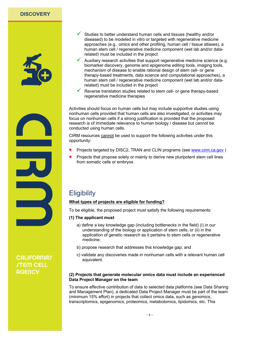

- $\checkmark$  Studies to better understand human cells and tissues (healthy and/or diseased) to be modeled in vitro or targeted with regenerative medicine approaches (e.g., omics and other profiling, human cell / tissue atlases), a human stem cell / regenerative medicine component (wet lab and/or datarelated) must be included in the project
- Auxiliary research activities that support regenerative medicine science (e.g. biomarker discovery, genome and epigenome editing tools, imaging tools, mechanism of disease to enable rational design of stem cell- or gene therapy-based treatments, data science and computational approaches), a human stem cell / regenerative medicine component (wet lab and/or datarelated) must be included in the project
- Reverse translation studies related to stem cell- or gene therapy-based regenerative medicine therapies

Activities should focus on human cells but may include supportive studies using nonhuman cells provided that human cells are also investigated, or activities may focus on nonhuman cells if a strong justification is provided that the proposed research is of immediate relevance to human biology / disease but cannot be conducted using human cells.

CIRM resources cannot be used to support the following activities under this opportunity:

- Projects targeted by DISC2, TRAN and CLIN programs (see www.cirm.ca.gov )
- Projects that propose solely or mainly to derive new pluripotent stem cell lines from somatic cells or embryos

## **Eligibility**

#### **What types of projects are eligible for funding?**

To be eligible, the proposed project must satisfy the following requirements:

- **(1) The applicant must** 
	- a) define a key knowledge gap (including bottlenecks in the field) (i) in our understanding of the biology or application of stem cells, or (ii) in the application of genetic research as it pertains to stem cells or regenerative medicine;
	- b) propose research that addresses this knowledge gap; and
	- c) validate any discoveries made in nonhuman cells with a relevant human cell equivalent.

#### **(2) Projects that generate molecular omics data must include an experienced Data Project Manager on the team**

To ensure effective contribution of data to selected data platforms (see Data Sharing and Management Plan), a dedicated Data Project Manager must be part of the team (minimum 15% effort) in projects that collect omics data, such as genomics, transcriptomics, epigenomics, proteomics, metabolomics, lipidomics, etc. This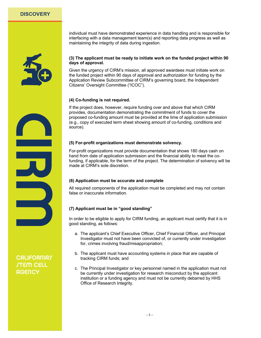

individual must have demonstrated experience in data handling and is responsible for interfacing with a data management team(s) and reporting data progress as well as maintaining the integrity of data during ingestion.

#### **(3) The applicant must be ready to initiate work on the funded project within 90 days of approval.**

Given the urgency of CIRM's mission, all approved awardees must initiate work on the funded project within 90 days of approval and authorization for funding by the Application Review Subcommittee of CIRM's governing board, the Independent Citizens' Oversight Committee ("ICOC").

#### **(4) Co-funding is not required.**

If the project does, however, require funding over and above that which CIRM provides, documentation demonstrating the commitment of funds to cover the proposed co-funding amount must be provided at the time of application submission (e.g., copy of executed term sheet showing amount of co-funding, conditions and source).

#### **(5) For-profit organizations must demonstrate solvency.**

For-profit organizations must provide documentation that shows 180 days cash on hand from date of application submission and the financial ability to meet the cofunding, if applicable, for the term of the project. The determination of solvency will be made at CIRM's sole discretion.

#### **(6) Application must be accurate and complete**

All required components of the application must be completed and may not contain false or inaccurate information.

#### **(7) Applicant must be in "good standing"**

In order to be eligible to apply for CIRM funding, an applicant must certify that it is in good standing, as follows:

- a. The applicant's Chief Executive Officer, Chief Financial Officer, and Principal Investigator must not have been convicted of, or currently under investigation for, crimes involving fraud/misappropriation;
- b. The applicant must have accounting systems in place that are capable of tracking CIRM funds; and
- c. The Principal Investigator or key personnel named in the application must not be currently under investigation for research misconduct by the applicant institution or a funding agency and must not be currently debarred by HHS Office of Research Integrity.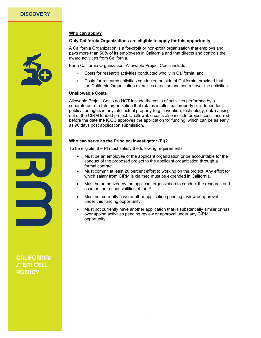#### **Who can apply?**

#### **Only California Organizations are eligible to apply for this opportunity.**

A California Organization is a for-profit or non-profit organization that employs and pays more than 50% of its employees in California and that directs and controls the award activities from California.

For a California Organization, Allowable Project Costs include:

- Costs for research activities conducted wholly in California; and
- Costs for research activities conducted outside of California, provided that the California Organization exercises direction and control over the activities.

#### **Unallowable Costs**

Allowable Project Costs do NOT include the costs of activities performed by a separate out-of-state organization that retains intellectual property or independent publication rights in any intellectual property (e.g., invention, technology, data) arising out of the CIRM funded project. Unallowable costs also include project costs incurred before the date the ICOC approves the application for funding, which can be as early as 90 days post application submission.

#### **Who can serve as the Principal Investigator (PI)?**

To be eligible, the PI must satisfy the following requirements

- Must be an employee of the applicant organization or be accountable for the conduct of the proposed project to the applicant organization through a formal contract.
- Must commit at least 20 percent effort to working on the project. Any effort for which salary from CIRM is claimed must be expended in California.
- Must be authorized by the applicant organization to conduct the research and assume the responsibilities of the PI.
- Must not currently have another application pending review or approval under this funding opportunity.
- Must not currently have another application that is substantially similar or has overlapping activities pending review or approval under any CIRM opportunity.

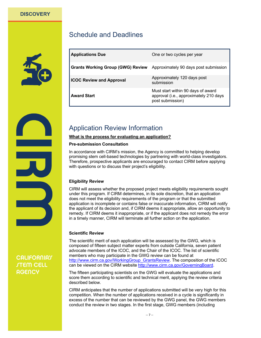

| <b>I</b> A so the set of section $\mathbf{R}$ |  | <b>A</b> 1 |  |
|-----------------------------------------------|--|------------|--|
|                                               |  |            |  |
| <b>Portography and Doctomnov</b>              |  |            |  |

Schedule and Deadlines

| <b>Applications Due</b>                  | One or two cycles per year                                                                       |
|------------------------------------------|--------------------------------------------------------------------------------------------------|
| <b>Grants Working Group (GWG) Review</b> | Approximately 90 days post submission                                                            |
| <b>ICOC Review and Approval</b>          | Approximately 120 days post<br>submission                                                        |
| <b>Award Start</b>                       | Must start within 90 days of award<br>approval (i.e., approximately 210 days<br>post submission) |

## Application Review Information

#### **What is the process for evaluating an application?**

#### **Pre-submission Consultation**

In accordance with CIRM's mission, the Agency is committed to helping develop promising stem cell-based technologies by partnering with world-class investigators. Therefore, prospective applicants are encouraged to contact CIRM before applying with questions or to discuss their project's eligibility.

#### **Eligibility Review**

CIRM will assess whether the proposed project meets eligibility requirements sought under this program. If CIRM determines, in its sole discretion, that an application does not meet the eligibility requirements of the program or that the submitted application is incomplete or contains false or inaccurate information, CIRM will notify the applicant of its decision and, if CIRM deems it appropriate, allow an opportunity to remedy. If CIRM deems it inappropriate, or if the applicant does not remedy the error in a timely manner, CIRM will terminate all further action on the application.

#### **Scientific Review**

The scientific merit of each application will be assessed by the GWG, which is composed of fifteen subject matter experts from outside California, seven patient advocate members of the ICOC, and the Chair of the ICOC. The list of scientific members who may participate in the GWG review can be found at http://www.cirm.ca.gov/WorkingGroup\_GrantsReview. The composition of the ICOC can be viewed on the CIRM website http://www.cirm.ca.gov/GoverningBoard.

The fifteen participating scientists on the GWG will evaluate the applications and score them according to scientific and technical merit, applying the review criteria described below.

CIRM anticipates that the number of applications submitted will be very high for this competition. When the number of applications received in a cycle is significantly in excess of the number that can be reviewed by the GWG panel, the GWG members conduct the review in two stages. In the first stage, GWG members (including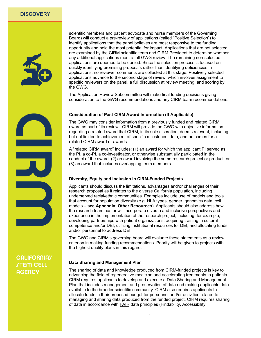

scientific members and patient advocate and nurse members of the Governing Board) will conduct a pre-review of applications (called "Positive Selection") to identify applications that the panel believes are most responsive to the funding opportunity and hold the most potential for impact. Applications that are not selected are examined by the CIRM scientific team and CIRM President to determine whether any additional applications merit a full GWG review. The remaining non-selected applications are deemed to be denied. Since the selection process is focused on quickly identifying promising proposals rather than identifying deficiencies in applications, no reviewer comments are collected at this stage. Positively selected applications advance to the second stage of review, which involves assignment to specific reviewers on the panel, a full discussion at review meeting, and scoring by the GWG.

The Application Review Subcommittee will make final funding decisions giving consideration to the GWG recommendations and any CIRM team recommendations.

#### **Consideration of Past CIRM Award Information (If Applicable)**

The GWG may consider information from a previously funded and related CIRM award as part of its review. CIRM will provide the GWG with objective information regarding a related award that CIRM, in its sole discretion, deems relevant, including but not limited to achievement of specific milestones, data, and outcomes for a related CIRM award or awards.

A "related CIRM award" includes: (1) an award for which the applicant PI served as the PI, a co-PI, a co-investigator, or otherwise substantially participated in the conduct of the award; (2) an award involving the same research project or product; or (3) an award that includes overlapping team members.

#### **Diversity, Equity and Inclusion in CIRM-Funded Projects**

Applicants should discuss the limitations, advantages and/or challenges of their research proposal as it relates to the diverse California population, including underserved racial/ethnic communities. Examples include use of models and tools that account for population diversity (e.g. HLA types, gender, genomics data, cell models **– see [Appendix: Other Resources](#page-14-0)**). Applicants should also address how the research team has or will incorporate diverse and inclusive perspectives and experience in the implementation of the research project, including, for example, developing partnerships with patient organizations, acquiring training in cultural competence and/or DEI, utilizing institutional resources for DEI, and allocating funds and/or personnel to address DEI.

The GWG and CIRM's governing board will evaluate these statements as a review criterion in making funding recommendations. Priority will be given to projects with the highest quality plans in this regard.

#### **Data Sharing and Management Plan**

The sharing of data and knowledge produced from CIRM-funded projects is key to advancing the field of regenerative medicine and accelerating treatments to patients. CIRM requires applicants to develop and execute a Data Sharing and Management Plan that includes management and preservation of data and making applicable data available to the broader scientific community. CIRM also requires applicants to allocate funds in their proposed budget for personnel and/or activities related to managing and sharing data produced from the funded project. CIRM requires sharing of data in accordance with FAIR data principles (Findability, Accessibility,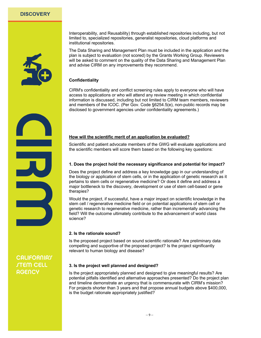

Interoperability, and Reusability) through established repositories including, but not limited to, specialized repositories, generalist repositories, cloud platforms and institutional repositories.

The Data Sharing and Management Plan must be included in the application and the plan is subject to evaluation (not scored) by the Grants Working Group. Reviewers will be asked to comment on the quality of the Data Sharing and Management Plan and advise CIRM on any improvements they recommend.

#### **Confidentiality**

CIRM's confidentiality and conflict screening rules apply to everyone who will have access to applications or who will attend any review meeting in which confidential information is discussed, including but not limited to CIRM team members, reviewers and members of the ICOC. (Per Gov. Code §6254.5(e), non-public records may be disclosed to government agencies under confidentiality agreements.)

#### **How will the scientific merit of an application be evaluated?**

Scientific and patient advocate members of the GWG will evaluate applications and the scientific members will score them based on the following key questions:

#### **1. Does the project hold the necessary significance and potential for impact?**

Does the project define and address a key knowledge gap in our understanding of the biology or application of stem cells, or in the application of genetic research as it pertains to stem cells or regenerative medicine? Or does it define and address a major bottleneck to the discovery, development or use of stem cell-based or gene therapies?

Would the project, if successful, have a major impact on scientific knowledge in the stem cell / regenerative medicine field or on potential applications of stem cell or genetic research to regenerative medicine, rather than incrementally advancing the field? Will the outcome ultimately contribute to the advancement of world class science?

#### **2. Is the rationale sound?**

Is the proposed project based on sound scientific rationale? Are preliminary data compelling and supportive of the proposed project? Is the project significantly relevant to human biology and disease?

#### **3. Is the project well planned and designed?**

Is the project appropriately planned and designed to give meaningful results? Are potential pitfalls identified and alternative approaches presented? Do the project plan and timeline demonstrate an urgency that is commensurate with CIRM's mission? For projects shorter than 3 years and that propose annual budgets above \$400,000, is the budget rationale appropriately justified?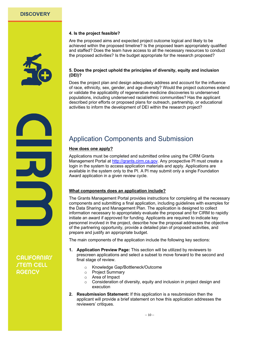

#### **4. Is the project feasible?**

Are the proposed aims and expected project outcome logical and likely to be achieved within the proposed timeline? Is the proposed team appropriately qualified and staffed? Does the team have access to all the necessary resources to conduct the proposed activities? Is the budget appropriate for the research proposed?

#### **5. Does the project uphold the principles of diversity, equity and inclusion (DEI)?**

Does the project plan and design adequately address and account for the influence of race, ethnicity, sex, gender, and age diversity? Would the project outcomes extend or validate the applicability of regenerative medicine discoveries to underserved populations, including underserved racial/ethnic communities? Has the applicant described prior efforts or proposed plans for outreach, partnership, or educational activities to inform the development of DEI within the research project?

## Application Components and Submission

#### **How does one apply?**

Applications must be completed and submitted online using the CIRM Grants Management Portal at http://grants.cirm.ca.gov. Any prospective PI must create a login in the system to access application materials and apply. Applications are available in the system only to the PI. A PI may submit only a single Foundation Award application in a given review cycle.

#### **What components does an application include?**

The Grants Management Portal provides instructions for completing all the necessary components and submitting a final application, including guidelines with examples for the Data Sharing and Management Plan. The application is designed to collect information necessary to appropriately evaluate the proposal and for CIRM to rapidly initiate an award if approved for funding. Applicants are required to indicate key personnel involved in the project, describe how the proposal addresses the objective of the partnering opportunity, provide a detailed plan of proposed activities, and prepare and justify an appropriate budget.

The main components of the application include the following key sections:

- **1. Application Preview Page:** This section will be utilized by reviewers to prescreen applications and select a subset to move forward to the second and final stage of review.
	- o Knowledge Gap/Bottleneck/Outcome
	- o Project Summary
	- o Area of Impact
	- o Consideration of diversity, equity and inclusion in project design and execution
- **2. Resubmission Statement:** If this application is a resubmission then the applicant will provide a brief statement on how this application addresses the reviewers' critiques.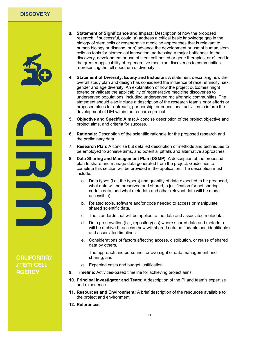

- **3. Statement of Significance and Impact:** Description of how the proposed research, if successful, could: a) address a critical basic knowledge gap in the biology of stem cells or regenerative medicine approaches that is relevant to human biology or disease, or b) advance the development or use of human stem cells as tools for biomedical innovation, addressing a major bottleneck to the discovery, development or use of stem cell-based or gene therapies, or c) lead to the greater applicability of regenerative medicine discoveries to communities representing the full spectrum of diversity.
- **4. Statement of Diversity, Equity and Inclusion**: A statement describing how the overall study plan and design has considered the influence of race, ethnicity, sex, gender and age diversity. An explanation of how the project outcomes might extend or validate the applicability of regenerative medicine discoveries to underserved populations, including underserved racial/ethnic communities. The statement should also include a description of the research team's prior efforts or proposed plans for outreach, partnership, or educational activities to inform the development of DEI within the research project.
- **5. Objective and Specific Aims:** A concise description of the project objective and project aims, and criteria for success.
- **6. Rationale:** Description of the scientific rationale for the proposed research and the preliminary data.
- **7. Research Plan**: A concise but detailed description of methods and techniques to be employed to achieve aims, and potential pitfalls and alternative approaches.
- **8. Data Sharing and Management Plan (DSMP)**: A description of the proposed plan to share and manage data generated from the project. Guidelines to complete this section will be provided in the application. The description must include:
	- a. Data types (i.e., the type(s) and quantity of data expected to be produced, what data will be preserved and shared, a justification for not sharing certain data, and what metadata and other relevant data will be made accessible),
	- b. Related tools, software and/or code needed to access or manipulate shared scientific data,
	- c. The standards that will be applied to the data and associated metadata,
	- d. Data preservation (i.e., repository(ies) where shared data and metadata will be archived), access (how will shared data be findable and identifiable) and associated timelines,
	- e. Considerations of factors affecting access, distribution, or reuse of shared data by others,
	- f. The approach and personnel for oversight of data management and sharing, and
	- g. Expected costs and budget justification.
- **9. Timeline**: Activities-based timeline for achieving project aims.
- **10. Principal Investigator and Team:** A description of the PI and team's expertise and experience.
- **11. Resources and Environment:** A brief description of the resources available to the project and environment.
- **12. References**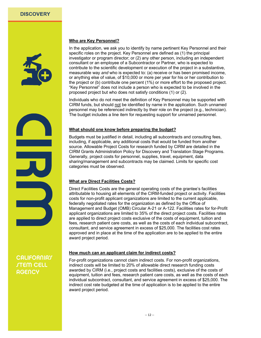

#### **Who are Key Personnel?**

In the application, we ask you to identify by name pertinent Key Personnel and their specific roles on the project. Key Personnel are defined as (1) the principal investigator or program director; or (2) any other person, including an independent consultant or an employee of a Subcontractor or Partner, who is expected to contribute to the scientific development or execution of the project in a substantive, measurable way *and* who is expected to: (a) receive or has been promised income, or anything else of value, of \$10,000 or more per year for his or her contribution to the project or (b) contribute one percent (1%) or more effort to the proposed project. "Key Personnel" does not include a person who is expected to be involved in the proposed project but who does not satisfy conditions (1) or (2).

Individuals who do not meet the definition of Key Personnel may be supported with CIRM funds, but should not be identified by name in the application. Such unnamed personnel may be referenced indirectly by their role on the project (e.g., technician). The budget includes a line item for requesting support for unnamed personnel.

#### **What should one know before preparing the budget?**

Budgets must be justified in detail, including all subcontracts and consulting fees, including, if applicable, any additional costs that would be funded from another source. Allowable Project Costs for research funded by CIRM are detailed in the CIRM Grants Administration Policy for Discovery and Translation Stage Programs. Generally, project costs for personnel, supplies, travel, equipment, data sharing/management and subcontracts may be claimed. Limits for specific cost categories must be observed.

#### **What are Direct Facilities Costs?**

Direct Facilities Costs are the general operating costs of the grantee's facilities attributable to housing all elements of the CIRM-funded project or activity. Facilities costs for non-profit applicant organizations are limited to the current applicable, federally negotiated rates for the organization as defined by the Office of Management and Budget (OMB) Circular A-21 or A-122. Facilities rates for for-Profit applicant organizations are limited to 35% of the direct project costs. Facilities rates are applied to direct project costs exclusive of the costs of equipment, tuition and fees, research patient care costs, as well as the costs of each individual subcontract, consultant, and service agreement in excess of \$25,000. The facilities cost rates approved and in place at the time of the application are to be applied to the entire award project period.

#### **How much can an applicant claim for indirect costs?**

For-profit organizations cannot claim indirect costs. For non-profit organizations, indirect costs will be limited to 20% of allowable direct research funding costs awarded by CIRM (i.e., project costs and facilities costs), exclusive of the costs of equipment, tuition and fees, research patient care costs, as well as the costs of each individual subcontract, consultant, and service agreement in excess of \$25,000. The indirect cost rate budgeted at the time of application is to be applied to the entire award project period.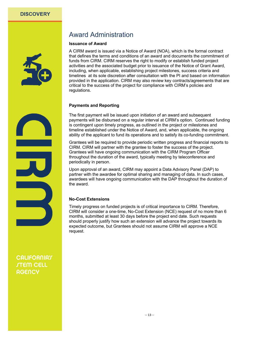

## Award Administration

#### **Issuance of Award**

A CIRM award is issued via a Notice of Award (NOA), which is the formal contract that defines the terms and conditions of an award and documents the commitment of funds from CIRM. CIRM reserves the right to modify or establish funded project activities and the associated budget prior to issuance of the Notice of Grant Award, including, when applicable, establishing project milestones, success criteria and timelines at its sole discretion after consultation with the PI and based on information provided in the application. CIRM may also review key contracts/agreements that are critical to the success of the project for compliance with CIRM's policies and regulations.

#### **Payments and Reporting**

The first payment will be issued upon initiation of an award and subsequent payments will be disbursed on a regular interval at CIRM's option. Continued funding is contingent upon timely progress, as outlined in the project or milestones and timeline established under the Notice of Award, and, when applicable, the ongoing ability of the applicant to fund its operations and to satisfy its co-funding commitment.

Grantees will be required to provide periodic written progress and financial reports to CIRM. CIRM will partner with the grantee to foster the success of the project. Grantees will have ongoing communication with the CIRM Program Officer throughout the duration of the award, typically meeting by teleconference and periodically in person.

Upon approval of an award, CIRM may appoint a Data Advisory Panel (DAP) to partner with the awardee for optimal sharing and managing of data. In such cases, awardees will have ongoing communication with the DAP throughout the duration of the award.

#### **No-Cost Extensions**

Timely progress on funded projects is of critical importance to CIRM. Therefore, CIRM will consider a one-time, No-Cost Extension (NCE) request of no more than 6 months, submitted at least 30 days before the project end date. Such requests should properly justify how such an extension will advance the project towards its expected outcome, but Grantees should not assume CIRM will approve a NCE request.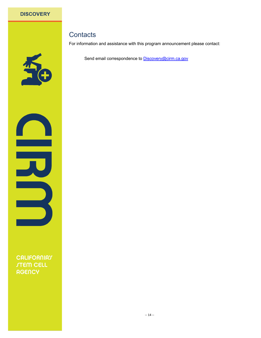## **Contacts**

For information and assistance with this program announcement please contact:

Send email correspondence to **Discovery@cirm.ca.gov** 

**CALIFORNIAT STEM CELL AGENCY**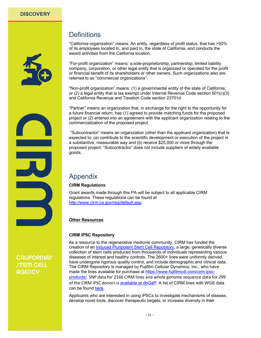<span id="page-14-0"></span>

## **Definitions**

"California organization" means: An entity, regardless of profit status, that has >50% of its employees located in, and paid in, the state of California, and conducts the award activities from the California location.

"For-profit organization" means: a sole-proprietorship, partnership, limited liability company, corporation, or other legal entity that is organized or operated for the profit or financial benefit of its shareholders or other owners. Such organizations also are referred to as "commercial organizations".

"Non-profit organization" means: (1) a governmental entity of the state of California; or (2) a legal entity that is tax exempt under Internal Revenue Code section 501(c)(3) and California Revenue and Taxation Code section 23701d.

"Partner" means an organization that, in exchange for the right to the opportunity for a future financial return, has (1) agreed to provide matching funds for the proposed project or (2) entered into an agreement with the applicant organization relating to the commercialization of the proposed project.

"Subcontractor" means an organization (other than the applicant organization) that is expected to: (a) contribute to the scientific development or execution of the project in a substantive, measurable way *and* (b) receive \$25,000 or more through the proposed project. "Subcontractor" does not include suppliers of widely available goods.

## Appendix

#### **CIRM Regulations**

Grant awards made through this PA will be subject to all applicable CIRM regulations. These regulations can be found at http://www.cirm.ca.gov/reg/default.asp.

#### **Other Resources**

#### **CIRM iPSC Repository**

As a resource to the regenerative medicine community, CIRM has funded the creation of an [Induced Pluripotent Stem Cell Repository](https://www.cirm.ca.gov/researchers/ipsc-repository), a large, genetically diverse collection of stem cells produced from thousands of individuals representing various diseases of interest and healthy controls. The 2600+ lines were uniformly derived, have undergone rigorous quality control, and include demographic and clinical data. The CIRM Repository is managed by Fujifilm Cellular Dynamics, Inc., who have made the lines available for purchase at [https://www.fujifilmcdi.com/cirm-ipsc](https://www.fujifilmcdi.com/cirm-ipsc-products/)[products/.](https://www.fujifilmcdi.com/cirm-ipsc-products/) SNP data for 2166 CIRM lines and whole genome sequence data for 299 of the CIRM iPSC donors is [available at dbGaP.](https://www.ncbi.nlm.nih.gov/projects/gap/cgi-bin/study.cgi?study_id=phs002032.v1.p1) A list of CIRM lines with WGS data can be found [here.](https://sites.google.com/broadinstitute.org/sc-stem-cell-resource/cirm-ipsc-wgs-data-release-v1)

Applicants who are interested in using iPSCs to investigate mechanisms of disease, develop novel tools, discover therapeutic targets, or increase diversity in their